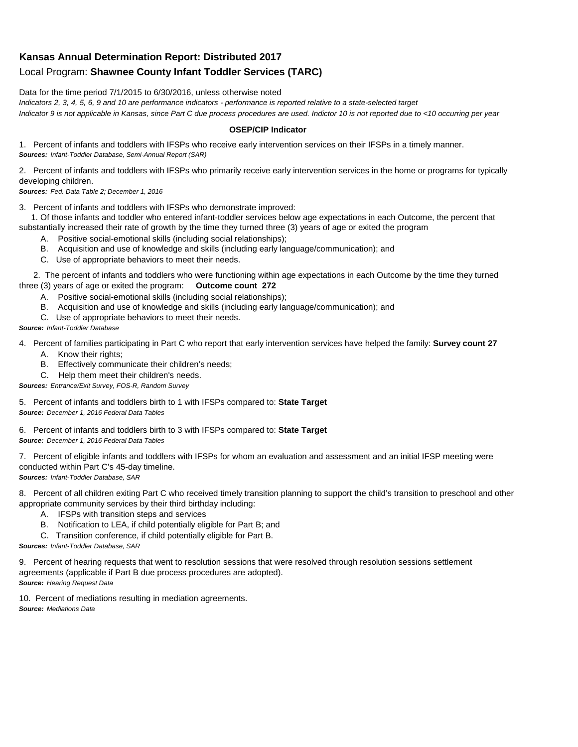## **Kansas Annual Determination Report: Distributed 2017** Local Program: **Shawnee County Infant Toddler Services (TARC)**

Data for the time period 7/1/2015 to 6/30/2016, unless otherwise noted

*Indicators 2, 3, 4, 5, 6, 9 and 10 are performance indicators - performance is reported relative to a state-selected target Indicator 9 is not applicable in Kansas, since Part C due process procedures are used. Indictor 10 is not reported due to <10 occurring per year*

## **OSEP/CIP Indicator**

1. Percent of infants and toddlers with IFSPs who receive early intervention services on their IFSPs in a timely manner. *Sources: Infant-Toddler Database, Semi-Annual Report (SAR)* 

2. Percent of infants and toddlers with IFSPs who primarily receive early intervention services in the home or programs for typically developing children.

*Sources: Fed. Data Table 2; December 1, 2016*

3. Percent of infants and toddlers with IFSPs who demonstrate improved:

 1. Of those infants and toddler who entered infant-toddler services below age expectations in each Outcome, the percent that substantially increased their rate of growth by the time they turned three (3) years of age or exited the program

- A. Positive social-emotional skills (including social relationships);
- B. Acquisition and use of knowledge and skills (including early language/communication); and
- C. Use of appropriate behaviors to meet their needs.

 2. The percent of infants and toddlers who were functioning within age expectations in each Outcome by the time they turned three (3) years of age or exited the program: **Outcome count 272**

- A. Positive social-emotional skills (including social relationships);
- B. Acquisition and use of knowledge and skills (including early language/communication); and
- C. Use of appropriate behaviors to meet their needs.

## *Source: Infant-Toddler Database*

4. Percent of families participating in Part C who report that early intervention services have helped the family: **Survey count 27**

- A. Know their rights;
- B. Effectively communicate their children's needs;
- C. Help them meet their children's needs.
- *Sources: Entrance/Exit Survey, FOS-R, Random Survey*

5. Percent of infants and toddlers birth to 1 with IFSPs compared to: **State Target** *Source: December 1, 2016 Federal Data Tables*

6. Percent of infants and toddlers birth to 3 with IFSPs compared to: **State Target** *Source: December 1, 2016 Federal Data Tables*

7. Percent of eligible infants and toddlers with IFSPs for whom an evaluation and assessment and an initial IFSP meeting were conducted within Part C's 45-day timeline.

*Sources: Infant-Toddler Database, SAR*

8. Percent of all children exiting Part C who received timely transition planning to support the child's transition to preschool and other appropriate community services by their third birthday including:

- A. IFSPs with transition steps and services
- B. Notification to LEA, if child potentially eligible for Part B; and
- C. Transition conference, if child potentially eligible for Part B.

*Sources: Infant-Toddler Database, SAR*

9. Percent of hearing requests that went to resolution sessions that were resolved through resolution sessions settlement agreements (applicable if Part B due process procedures are adopted). *Source: Hearing Request Data*

10. Percent of mediations resulting in mediation agreements. *Source: Mediations Data*